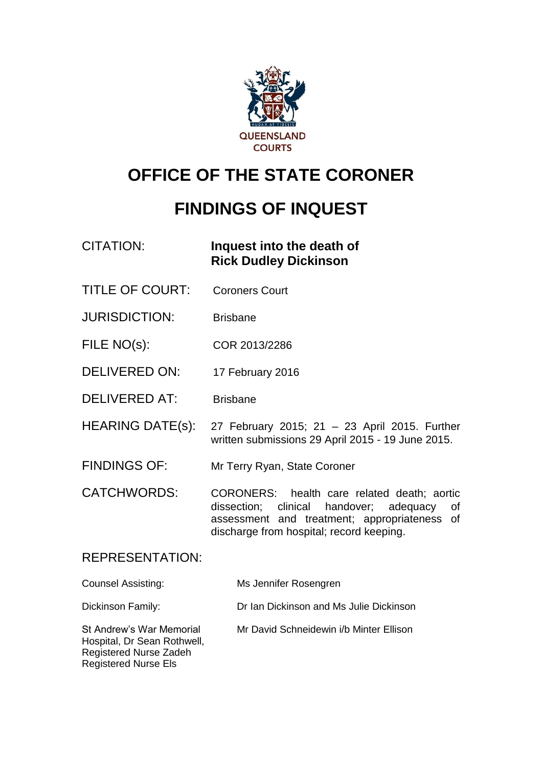

# **OFFICE OF THE STATE CORONER**

# **FINDINGS OF INQUEST**

## CITATION: **Inquest into the death of Rick Dudley Dickinson**

- TITLE OF COURT: Coroners Court
- JURISDICTION: Brisbane
- FILE NO(s): COR 2013/2286
- DELIVERED ON: 17 February 2016
- DELIVERED AT: Brisbane
- HEARING DATE(s): 27 February 2015; 21 23 April 2015. Further written submissions 29 April 2015 - 19 June 2015.
- FINDINGS OF: Mr Terry Ryan, State Coroner
- CATCHWORDS: CORONERS: health care related death; aortic dissection; clinical handover; adequacy of assessment and treatment; appropriateness of discharge from hospital; record keeping.

### REPRESENTATION:

Registered Nurse Els

| <b>Counsel Assisting:</b>                                                         | Ms Jennifer Rosengren                   |
|-----------------------------------------------------------------------------------|-----------------------------------------|
| Dickinson Family:                                                                 | Dr Ian Dickinson and Ms Julie Dickinson |
| St Andrew's War Memorial<br>Hospital, Dr Sean Rothwell,<br>Registered Nurse Zadeh | Mr David Schneidewin i/b Minter Ellison |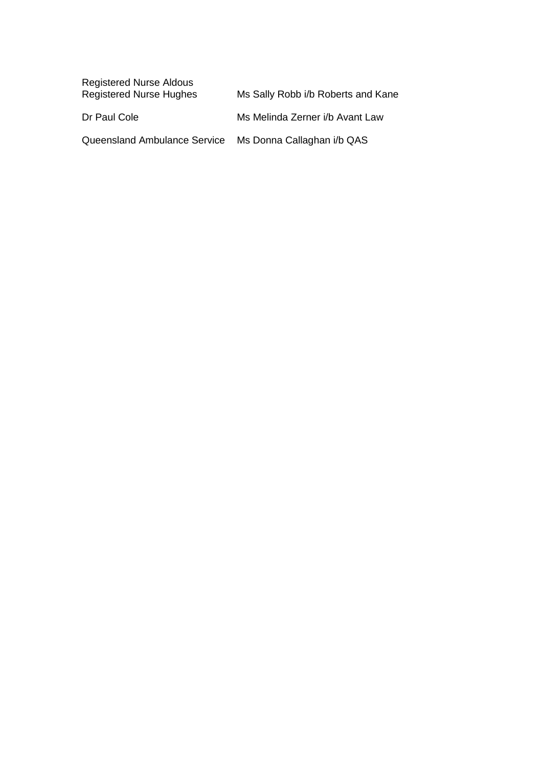| <b>Registered Nurse Aldous</b><br><b>Registered Nurse Hughes</b> | Ms Sally Robb i/b Roberts and Kane |
|------------------------------------------------------------------|------------------------------------|
| Dr Paul Cole                                                     | Ms Melinda Zerner i/b Avant Law    |
| Queensland Ambulance Service                                     | Ms Donna Callaghan i/b QAS         |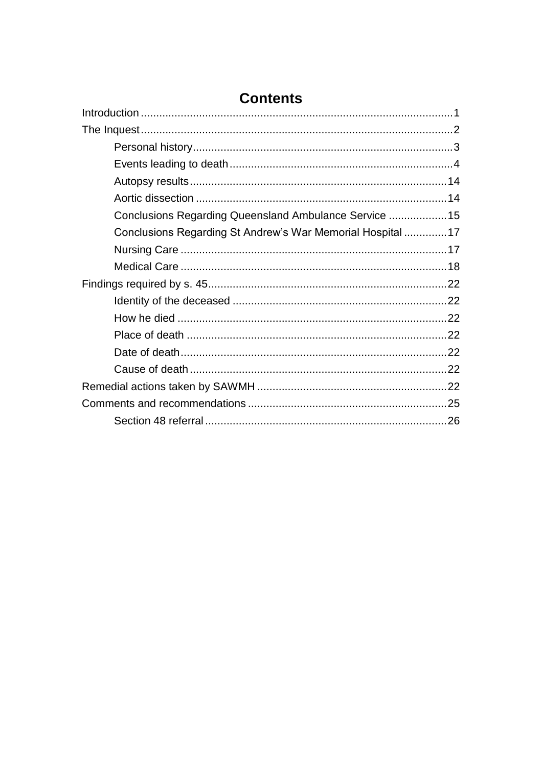| Conclusions Regarding Queensland Ambulance Service  15     |  |
|------------------------------------------------------------|--|
| Conclusions Regarding St Andrew's War Memorial Hospital 17 |  |
|                                                            |  |
|                                                            |  |
|                                                            |  |
|                                                            |  |
|                                                            |  |
|                                                            |  |
|                                                            |  |
|                                                            |  |
|                                                            |  |
|                                                            |  |
|                                                            |  |

## **Contents**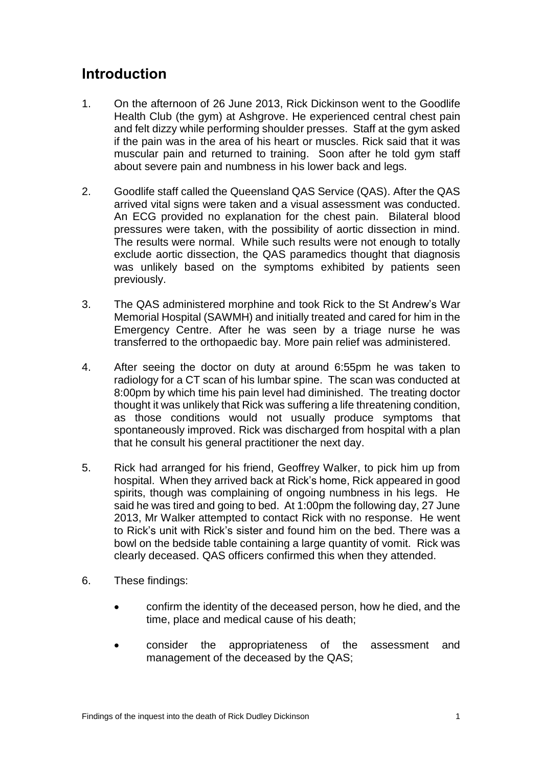## <span id="page-3-0"></span>**Introduction**

- 1. On the afternoon of 26 June 2013, Rick Dickinson went to the Goodlife Health Club (the gym) at Ashgrove. He experienced central chest pain and felt dizzy while performing shoulder presses. Staff at the gym asked if the pain was in the area of his heart or muscles. Rick said that it was muscular pain and returned to training. Soon after he told gym staff about severe pain and numbness in his lower back and legs.
- 2. Goodlife staff called the Queensland QAS Service (QAS). After the QAS arrived vital signs were taken and a visual assessment was conducted. An ECG provided no explanation for the chest pain. Bilateral blood pressures were taken, with the possibility of aortic dissection in mind. The results were normal. While such results were not enough to totally exclude aortic dissection, the QAS paramedics thought that diagnosis was unlikely based on the symptoms exhibited by patients seen previously.
- 3. The QAS administered morphine and took Rick to the St Andrew's War Memorial Hospital (SAWMH) and initially treated and cared for him in the Emergency Centre. After he was seen by a triage nurse he was transferred to the orthopaedic bay. More pain relief was administered.
- 4. After seeing the doctor on duty at around 6:55pm he was taken to radiology for a CT scan of his lumbar spine. The scan was conducted at 8:00pm by which time his pain level had diminished. The treating doctor thought it was unlikely that Rick was suffering a life threatening condition, as those conditions would not usually produce symptoms that spontaneously improved. Rick was discharged from hospital with a plan that he consult his general practitioner the next day.
- 5. Rick had arranged for his friend, Geoffrey Walker, to pick him up from hospital. When they arrived back at Rick's home, Rick appeared in good spirits, though was complaining of ongoing numbness in his legs. He said he was tired and going to bed. At 1:00pm the following day, 27 June 2013, Mr Walker attempted to contact Rick with no response. He went to Rick's unit with Rick's sister and found him on the bed. There was a bowl on the bedside table containing a large quantity of vomit. Rick was clearly deceased. QAS officers confirmed this when they attended.
- 6. These findings:
	- confirm the identity of the deceased person, how he died, and the time, place and medical cause of his death;
	- consider the appropriateness of the assessment and management of the deceased by the QAS;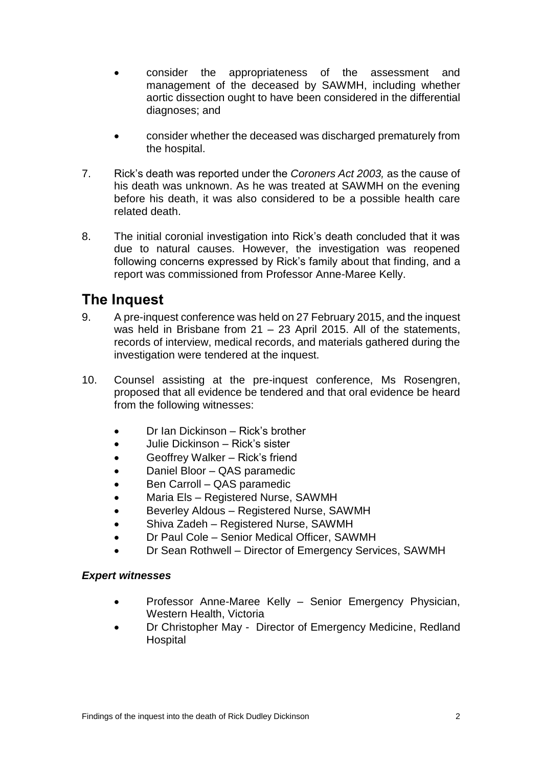- consider the appropriateness of the assessment and management of the deceased by SAWMH, including whether aortic dissection ought to have been considered in the differential diagnoses; and
- consider whether the deceased was discharged prematurely from the hospital.
- 7. Rick's death was reported under the *Coroners Act 2003,* as the cause of his death was unknown. As he was treated at SAWMH on the evening before his death, it was also considered to be a possible health care related death.
- 8. The initial coronial investigation into Rick's death concluded that it was due to natural causes. However, the investigation was reopened following concerns expressed by Rick's family about that finding, and a report was commissioned from Professor Anne-Maree Kelly.

## <span id="page-4-0"></span>**The Inquest**

- 9. A pre-inquest conference was held on 27 February 2015, and the inquest was held in Brisbane from 21 – 23 April 2015. All of the statements, records of interview, medical records, and materials gathered during the investigation were tendered at the inquest.
- 10. Counsel assisting at the pre-inquest conference, Ms Rosengren, proposed that all evidence be tendered and that oral evidence be heard from the following witnesses:
	- Dr Ian Dickinson Rick's brother
	- Julie Dickinson Rick's sister
	- Geoffrey Walker Rick's friend
	- Daniel Bloor QAS paramedic
	- Ben Carroll QAS paramedic
	- Maria Els Registered Nurse, SAWMH
	- Beverley Aldous Registered Nurse, SAWMH
	- Shiva Zadeh Registered Nurse, SAWMH
	- Dr Paul Cole Senior Medical Officer, SAWMH
	- Dr Sean Rothwell Director of Emergency Services, SAWMH

#### *Expert witnesses*

- Professor Anne-Maree Kelly Senior Emergency Physician, Western Health, Victoria
- Dr Christopher May Director of Emergency Medicine, Redland **Hospital**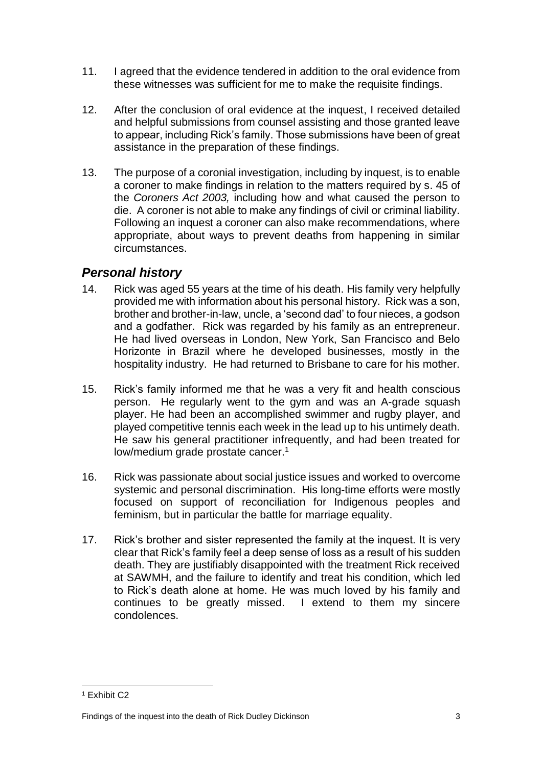- 11. I agreed that the evidence tendered in addition to the oral evidence from these witnesses was sufficient for me to make the requisite findings.
- 12. After the conclusion of oral evidence at the inquest, I received detailed and helpful submissions from counsel assisting and those granted leave to appear, including Rick's family. Those submissions have been of great assistance in the preparation of these findings.
- 13. The purpose of a coronial investigation, including by inquest, is to enable a coroner to make findings in relation to the matters required by s. 45 of the *Coroners Act 2003,* including how and what caused the person to die. A coroner is not able to make any findings of civil or criminal liability. Following an inquest a coroner can also make recommendations, where appropriate, about ways to prevent deaths from happening in similar circumstances.

#### <span id="page-5-0"></span>*Personal history*

- 14. Rick was aged 55 years at the time of his death. His family very helpfully provided me with information about his personal history. Rick was a son, brother and brother-in-law, uncle, a 'second dad' to four nieces, a godson and a godfather. Rick was regarded by his family as an entrepreneur. He had lived overseas in London, New York, San Francisco and Belo Horizonte in Brazil where he developed businesses, mostly in the hospitality industry. He had returned to Brisbane to care for his mother.
- 15. Rick's family informed me that he was a very fit and health conscious person. He regularly went to the gym and was an A-grade squash player. He had been an accomplished swimmer and rugby player, and played competitive tennis each week in the lead up to his untimely death. He saw his general practitioner infrequently, and had been treated for low/medium grade prostate cancer.<sup>1</sup>
- 16. Rick was passionate about social justice issues and worked to overcome systemic and personal discrimination. His long-time efforts were mostly focused on support of reconciliation for Indigenous peoples and feminism, but in particular the battle for marriage equality.
- 17. Rick's brother and sister represented the family at the inquest. It is very clear that Rick's family feel a deep sense of loss as a result of his sudden death. They are justifiably disappointed with the treatment Rick received at SAWMH, and the failure to identify and treat his condition, which led to Rick's death alone at home. He was much loved by his family and continues to be greatly missed. I extend to them my sincere condolences.

 $\overline{a}$ <sup>1</sup> Exhibit C2

Findings of the inquest into the death of Rick Dudley Dickinson 3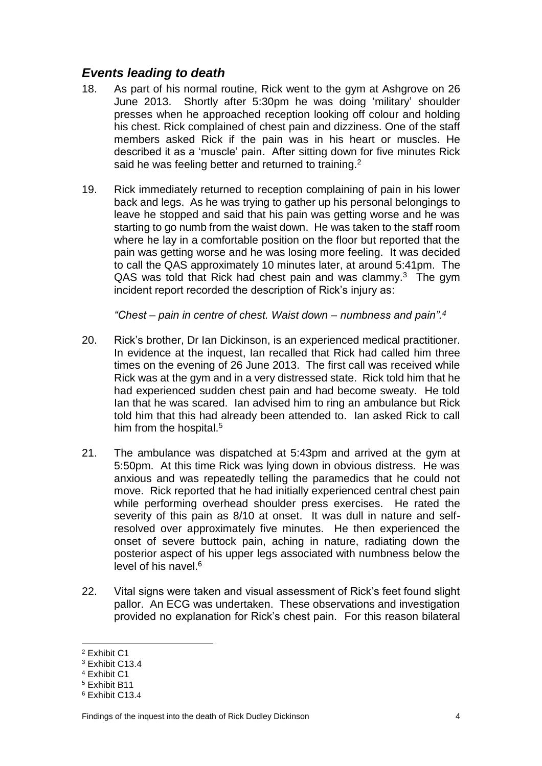### <span id="page-6-0"></span>*Events leading to death*

- 18. As part of his normal routine, Rick went to the gym at Ashgrove on 26 June 2013. Shortly after 5:30pm he was doing 'military' shoulder presses when he approached reception looking off colour and holding his chest. Rick complained of chest pain and dizziness. One of the staff members asked Rick if the pain was in his heart or muscles. He described it as a 'muscle' pain. After sitting down for five minutes Rick said he was feeling better and returned to training.<sup>2</sup>
- 19. Rick immediately returned to reception complaining of pain in his lower back and legs. As he was trying to gather up his personal belongings to leave he stopped and said that his pain was getting worse and he was starting to go numb from the waist down. He was taken to the staff room where he lay in a comfortable position on the floor but reported that the pain was getting worse and he was losing more feeling. It was decided to call the QAS approximately 10 minutes later, at around 5:41pm. The QAS was told that Rick had chest pain and was clammy. $3$  The gym incident report recorded the description of Rick's injury as:

*"Chest – pain in centre of chest. Waist down – numbness and pain".<sup>4</sup>*

- 20. Rick's brother, Dr Ian Dickinson, is an experienced medical practitioner. In evidence at the inquest, Ian recalled that Rick had called him three times on the evening of 26 June 2013. The first call was received while Rick was at the gym and in a very distressed state. Rick told him that he had experienced sudden chest pain and had become sweaty. He told Ian that he was scared. Ian advised him to ring an ambulance but Rick told him that this had already been attended to. Ian asked Rick to call him from the hospital.<sup>5</sup>
- 21. The ambulance was dispatched at 5:43pm and arrived at the gym at 5:50pm. At this time Rick was lying down in obvious distress. He was anxious and was repeatedly telling the paramedics that he could not move. Rick reported that he had initially experienced central chest pain while performing overhead shoulder press exercises. He rated the severity of this pain as 8/10 at onset. It was dull in nature and selfresolved over approximately five minutes. He then experienced the onset of severe buttock pain, aching in nature, radiating down the posterior aspect of his upper legs associated with numbness below the level of his navel.<sup>6</sup>
- 22. Vital signs were taken and visual assessment of Rick's feet found slight pallor. An ECG was undertaken. These observations and investigation provided no explanation for Rick's chest pain. For this reason bilateral

<sup>2</sup> Exhibit C1

<sup>3</sup> Exhibit C13.4

<sup>4</sup> Exhibit C1

<sup>5</sup> Exhibit B11

<sup>6</sup> Exhibit C13.4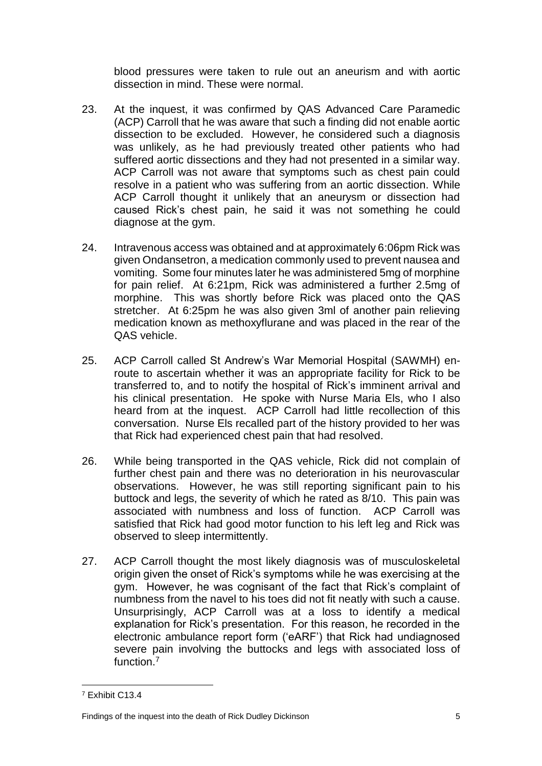blood pressures were taken to rule out an aneurism and with aortic dissection in mind. These were normal.

- 23. At the inquest, it was confirmed by QAS Advanced Care Paramedic (ACP) Carroll that he was aware that such a finding did not enable aortic dissection to be excluded. However, he considered such a diagnosis was unlikely, as he had previously treated other patients who had suffered aortic dissections and they had not presented in a similar way. ACP Carroll was not aware that symptoms such as chest pain could resolve in a patient who was suffering from an aortic dissection. While ACP Carroll thought it unlikely that an aneurysm or dissection had caused Rick's chest pain, he said it was not something he could diagnose at the gym.
- 24. Intravenous access was obtained and at approximately 6:06pm Rick was given Ondansetron, a medication commonly used to prevent nausea and vomiting. Some four minutes later he was administered 5mg of morphine for pain relief. At 6:21pm, Rick was administered a further 2.5mg of morphine. This was shortly before Rick was placed onto the QAS stretcher. At 6:25pm he was also given 3ml of another pain relieving medication known as methoxyflurane and was placed in the rear of the QAS vehicle.
- 25. ACP Carroll called St Andrew's War Memorial Hospital (SAWMH) enroute to ascertain whether it was an appropriate facility for Rick to be transferred to, and to notify the hospital of Rick's imminent arrival and his clinical presentation. He spoke with Nurse Maria Els, who I also heard from at the inquest. ACP Carroll had little recollection of this conversation. Nurse Els recalled part of the history provided to her was that Rick had experienced chest pain that had resolved.
- 26. While being transported in the QAS vehicle, Rick did not complain of further chest pain and there was no deterioration in his neurovascular observations. However, he was still reporting significant pain to his buttock and legs, the severity of which he rated as 8/10. This pain was associated with numbness and loss of function. ACP Carroll was satisfied that Rick had good motor function to his left leg and Rick was observed to sleep intermittently.
- 27. ACP Carroll thought the most likely diagnosis was of musculoskeletal origin given the onset of Rick's symptoms while he was exercising at the gym. However, he was cognisant of the fact that Rick's complaint of numbness from the navel to his toes did not fit neatly with such a cause. Unsurprisingly, ACP Carroll was at a loss to identify a medical explanation for Rick's presentation. For this reason, he recorded in the electronic ambulance report form ('eARF') that Rick had undiagnosed severe pain involving the buttocks and legs with associated loss of function.<sup>7</sup>

 $\overline{a}$ <sup>7</sup> Exhibit C13.4

Findings of the inquest into the death of Rick Dudley Dickinson 5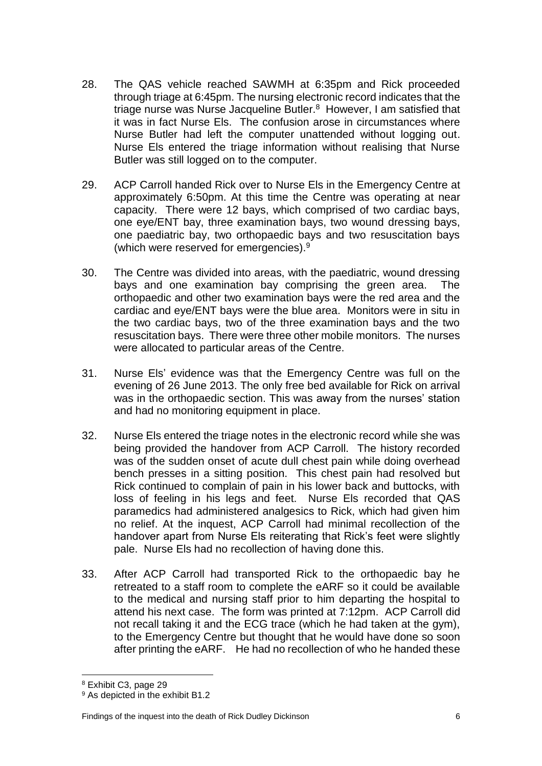- 28. The QAS vehicle reached SAWMH at 6:35pm and Rick proceeded through triage at 6:45pm. The nursing electronic record indicates that the triage nurse was Nurse Jacqueline Butler.<sup>8</sup> However, I am satisfied that it was in fact Nurse Els. The confusion arose in circumstances where Nurse Butler had left the computer unattended without logging out. Nurse Els entered the triage information without realising that Nurse Butler was still logged on to the computer.
- 29. ACP Carroll handed Rick over to Nurse Els in the Emergency Centre at approximately 6:50pm. At this time the Centre was operating at near capacity. There were 12 bays, which comprised of two cardiac bays, one eye/ENT bay, three examination bays, two wound dressing bays, one paediatric bay, two orthopaedic bays and two resuscitation bays (which were reserved for emergencies). $9$
- 30. The Centre was divided into areas, with the paediatric, wound dressing bays and one examination bay comprising the green area. The orthopaedic and other two examination bays were the red area and the cardiac and eye/ENT bays were the blue area. Monitors were in situ in the two cardiac bays, two of the three examination bays and the two resuscitation bays. There were three other mobile monitors. The nurses were allocated to particular areas of the Centre.
- 31. Nurse Els' evidence was that the Emergency Centre was full on the evening of 26 June 2013. The only free bed available for Rick on arrival was in the orthopaedic section. This was away from the nurses' station and had no monitoring equipment in place.
- 32. Nurse Els entered the triage notes in the electronic record while she was being provided the handover from ACP Carroll. The history recorded was of the sudden onset of acute dull chest pain while doing overhead bench presses in a sitting position. This chest pain had resolved but Rick continued to complain of pain in his lower back and buttocks, with loss of feeling in his legs and feet. Nurse Els recorded that QAS paramedics had administered analgesics to Rick, which had given him no relief. At the inquest, ACP Carroll had minimal recollection of the handover apart from Nurse Els reiterating that Rick's feet were slightly pale. Nurse Els had no recollection of having done this.
- 33. After ACP Carroll had transported Rick to the orthopaedic bay he retreated to a staff room to complete the eARF so it could be available to the medical and nursing staff prior to him departing the hospital to attend his next case. The form was printed at 7:12pm. ACP Carroll did not recall taking it and the ECG trace (which he had taken at the gym), to the Emergency Centre but thought that he would have done so soon after printing the eARF. He had no recollection of who he handed these

<sup>8</sup> Exhibit C3, page 29

<sup>9</sup> As depicted in the exhibit B1.2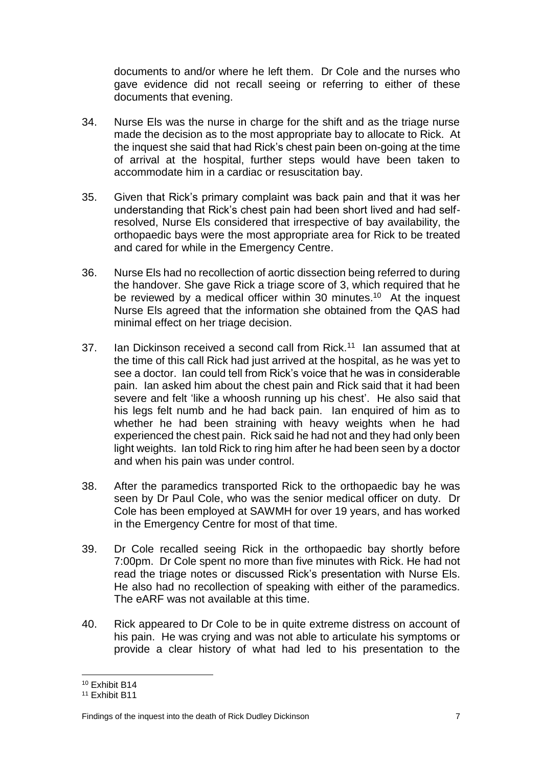documents to and/or where he left them. Dr Cole and the nurses who gave evidence did not recall seeing or referring to either of these documents that evening.

- 34. Nurse Els was the nurse in charge for the shift and as the triage nurse made the decision as to the most appropriate bay to allocate to Rick. At the inquest she said that had Rick's chest pain been on-going at the time of arrival at the hospital, further steps would have been taken to accommodate him in a cardiac or resuscitation bay.
- 35. Given that Rick's primary complaint was back pain and that it was her understanding that Rick's chest pain had been short lived and had selfresolved, Nurse Els considered that irrespective of bay availability, the orthopaedic bays were the most appropriate area for Rick to be treated and cared for while in the Emergency Centre.
- 36. Nurse Els had no recollection of aortic dissection being referred to during the handover. She gave Rick a triage score of 3, which required that he be reviewed by a medical officer within 30 minutes.<sup>10</sup> At the inquest Nurse Els agreed that the information she obtained from the QAS had minimal effect on her triage decision.
- 37. Ian Dickinson received a second call from Rick.<sup>11</sup> Ian assumed that at the time of this call Rick had just arrived at the hospital, as he was yet to see a doctor. Ian could tell from Rick's voice that he was in considerable pain. Ian asked him about the chest pain and Rick said that it had been severe and felt 'like a whoosh running up his chest'. He also said that his legs felt numb and he had back pain. Ian enquired of him as to whether he had been straining with heavy weights when he had experienced the chest pain. Rick said he had not and they had only been light weights. Ian told Rick to ring him after he had been seen by a doctor and when his pain was under control.
- 38. After the paramedics transported Rick to the orthopaedic bay he was seen by Dr Paul Cole, who was the senior medical officer on duty. Dr Cole has been employed at SAWMH for over 19 years, and has worked in the Emergency Centre for most of that time.
- 39. Dr Cole recalled seeing Rick in the orthopaedic bay shortly before 7:00pm. Dr Cole spent no more than five minutes with Rick. He had not read the triage notes or discussed Rick's presentation with Nurse Els. He also had no recollection of speaking with either of the paramedics. The eARF was not available at this time.
- 40. Rick appeared to Dr Cole to be in quite extreme distress on account of his pain. He was crying and was not able to articulate his symptoms or provide a clear history of what had led to his presentation to the

<sup>10</sup> Exhibit B14

<sup>11</sup> Exhibit B11

Findings of the inquest into the death of Rick Dudley Dickinson 7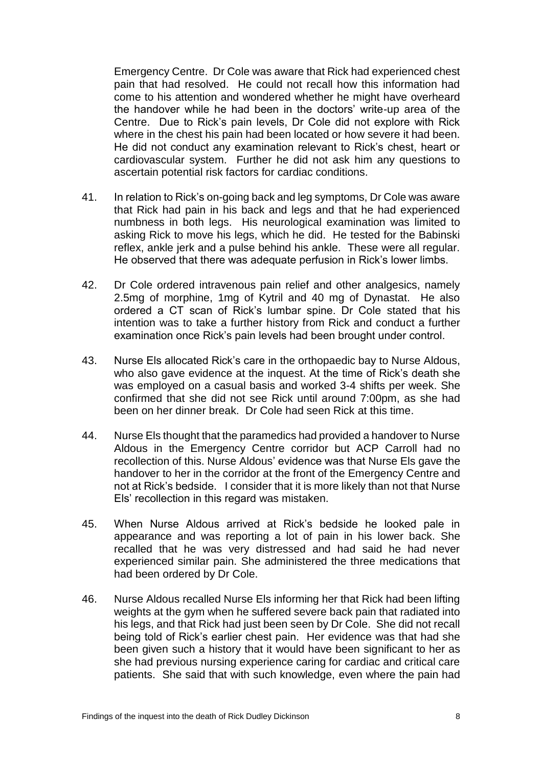Emergency Centre. Dr Cole was aware that Rick had experienced chest pain that had resolved. He could not recall how this information had come to his attention and wondered whether he might have overheard the handover while he had been in the doctors' write-up area of the Centre. Due to Rick's pain levels, Dr Cole did not explore with Rick where in the chest his pain had been located or how severe it had been. He did not conduct any examination relevant to Rick's chest, heart or cardiovascular system. Further he did not ask him any questions to ascertain potential risk factors for cardiac conditions.

- 41. In relation to Rick's on-going back and leg symptoms, Dr Cole was aware that Rick had pain in his back and legs and that he had experienced numbness in both legs. His neurological examination was limited to asking Rick to move his legs, which he did. He tested for the Babinski reflex, ankle jerk and a pulse behind his ankle. These were all regular. He observed that there was adequate perfusion in Rick's lower limbs.
- 42. Dr Cole ordered intravenous pain relief and other analgesics, namely 2.5mg of morphine, 1mg of Kytril and 40 mg of Dynastat. He also ordered a CT scan of Rick's lumbar spine. Dr Cole stated that his intention was to take a further history from Rick and conduct a further examination once Rick's pain levels had been brought under control.
- 43. Nurse Els allocated Rick's care in the orthopaedic bay to Nurse Aldous, who also gave evidence at the inquest. At the time of Rick's death she was employed on a casual basis and worked 3-4 shifts per week. She confirmed that she did not see Rick until around 7:00pm, as she had been on her dinner break. Dr Cole had seen Rick at this time.
- 44. Nurse Els thought that the paramedics had provided a handover to Nurse Aldous in the Emergency Centre corridor but ACP Carroll had no recollection of this. Nurse Aldous' evidence was that Nurse Els gave the handover to her in the corridor at the front of the Emergency Centre and not at Rick's bedside. I consider that it is more likely than not that Nurse Els' recollection in this regard was mistaken.
- 45. When Nurse Aldous arrived at Rick's bedside he looked pale in appearance and was reporting a lot of pain in his lower back. She recalled that he was very distressed and had said he had never experienced similar pain. She administered the three medications that had been ordered by Dr Cole.
- 46. Nurse Aldous recalled Nurse Els informing her that Rick had been lifting weights at the gym when he suffered severe back pain that radiated into his legs, and that Rick had just been seen by Dr Cole. She did not recall being told of Rick's earlier chest pain. Her evidence was that had she been given such a history that it would have been significant to her as she had previous nursing experience caring for cardiac and critical care patients. She said that with such knowledge, even where the pain had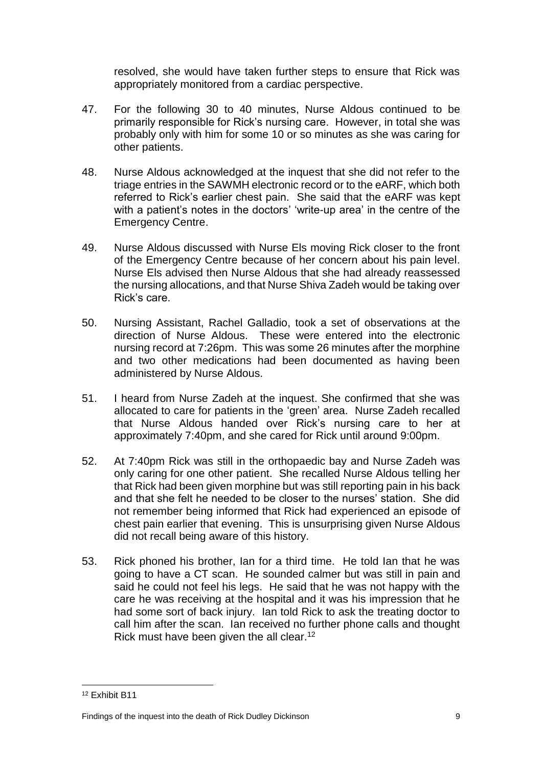resolved, she would have taken further steps to ensure that Rick was appropriately monitored from a cardiac perspective.

- 47. For the following 30 to 40 minutes, Nurse Aldous continued to be primarily responsible for Rick's nursing care. However, in total she was probably only with him for some 10 or so minutes as she was caring for other patients.
- 48. Nurse Aldous acknowledged at the inquest that she did not refer to the triage entries in the SAWMH electronic record or to the eARF, which both referred to Rick's earlier chest pain. She said that the eARF was kept with a patient's notes in the doctors' 'write-up area' in the centre of the Emergency Centre.
- 49. Nurse Aldous discussed with Nurse Els moving Rick closer to the front of the Emergency Centre because of her concern about his pain level. Nurse Els advised then Nurse Aldous that she had already reassessed the nursing allocations, and that Nurse Shiva Zadeh would be taking over Rick's care.
- 50. Nursing Assistant, Rachel Galladio, took a set of observations at the direction of Nurse Aldous. These were entered into the electronic nursing record at 7:26pm. This was some 26 minutes after the morphine and two other medications had been documented as having been administered by Nurse Aldous.
- 51. I heard from Nurse Zadeh at the inquest. She confirmed that she was allocated to care for patients in the 'green' area. Nurse Zadeh recalled that Nurse Aldous handed over Rick's nursing care to her at approximately 7:40pm, and she cared for Rick until around 9:00pm.
- 52. At 7:40pm Rick was still in the orthopaedic bay and Nurse Zadeh was only caring for one other patient. She recalled Nurse Aldous telling her that Rick had been given morphine but was still reporting pain in his back and that she felt he needed to be closer to the nurses' station. She did not remember being informed that Rick had experienced an episode of chest pain earlier that evening. This is unsurprising given Nurse Aldous did not recall being aware of this history.
- 53. Rick phoned his brother, Ian for a third time. He told Ian that he was going to have a CT scan. He sounded calmer but was still in pain and said he could not feel his legs. He said that he was not happy with the care he was receiving at the hospital and it was his impression that he had some sort of back injury. Ian told Rick to ask the treating doctor to call him after the scan. Ian received no further phone calls and thought Rick must have been given the all clear.<sup>12</sup>

 $\overline{a}$ <sup>12</sup> Exhibit B11

Findings of the inquest into the death of Rick Dudley Dickinson 9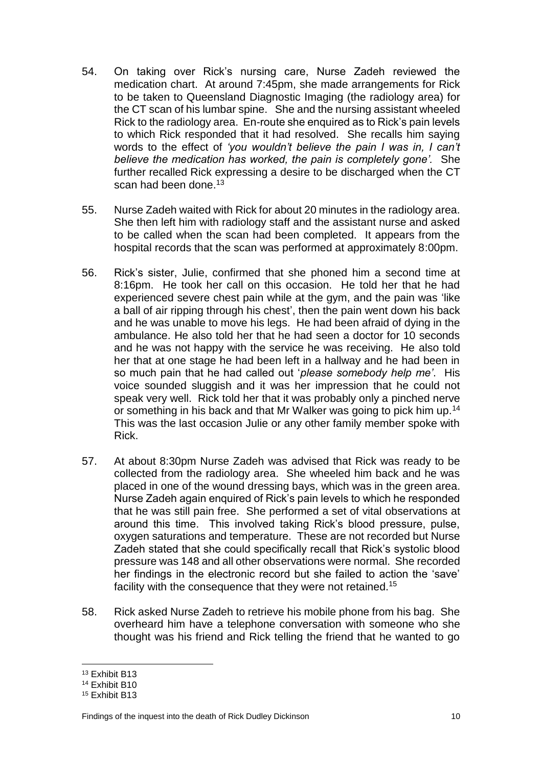- 54. On taking over Rick's nursing care, Nurse Zadeh reviewed the medication chart. At around 7:45pm, she made arrangements for Rick to be taken to Queensland Diagnostic Imaging (the radiology area) for the CT scan of his lumbar spine. She and the nursing assistant wheeled Rick to the radiology area. En-route she enquired as to Rick's pain levels to which Rick responded that it had resolved. She recalls him saying words to the effect of *'you wouldn't believe the pain I was in, I can't believe the medication has worked, the pain is completely gone'.* She further recalled Rick expressing a desire to be discharged when the CT scan had been done.<sup>13</sup>
- 55. Nurse Zadeh waited with Rick for about 20 minutes in the radiology area. She then left him with radiology staff and the assistant nurse and asked to be called when the scan had been completed. It appears from the hospital records that the scan was performed at approximately 8:00pm.
- 56. Rick's sister, Julie, confirmed that she phoned him a second time at 8:16pm. He took her call on this occasion. He told her that he had experienced severe chest pain while at the gym, and the pain was 'like a ball of air ripping through his chest', then the pain went down his back and he was unable to move his legs. He had been afraid of dying in the ambulance. He also told her that he had seen a doctor for 10 seconds and he was not happy with the service he was receiving. He also told her that at one stage he had been left in a hallway and he had been in so much pain that he had called out '*please somebody help me'*. His voice sounded sluggish and it was her impression that he could not speak very well. Rick told her that it was probably only a pinched nerve or something in his back and that Mr Walker was going to pick him up.<sup>14</sup> This was the last occasion Julie or any other family member spoke with Rick.
- 57. At about 8:30pm Nurse Zadeh was advised that Rick was ready to be collected from the radiology area. She wheeled him back and he was placed in one of the wound dressing bays, which was in the green area. Nurse Zadeh again enquired of Rick's pain levels to which he responded that he was still pain free. She performed a set of vital observations at around this time. This involved taking Rick's blood pressure, pulse, oxygen saturations and temperature. These are not recorded but Nurse Zadeh stated that she could specifically recall that Rick's systolic blood pressure was 148 and all other observations were normal. She recorded her findings in the electronic record but she failed to action the 'save' facility with the consequence that they were not retained.<sup>15</sup>
- 58. Rick asked Nurse Zadeh to retrieve his mobile phone from his bag. She overheard him have a telephone conversation with someone who she thought was his friend and Rick telling the friend that he wanted to go

 $\overline{a}$ <sup>13</sup> Exhibit B13

<sup>14</sup> Exhibit B10

<sup>15</sup> Exhibit B13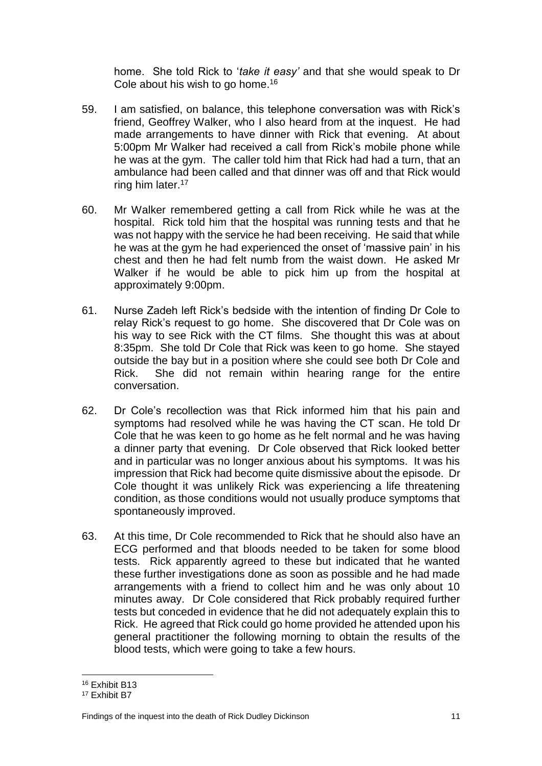home. She told Rick to '*take it easy'* and that she would speak to Dr Cole about his wish to go home.<sup>16</sup>

- 59. I am satisfied, on balance, this telephone conversation was with Rick's friend, Geoffrey Walker, who I also heard from at the inquest. He had made arrangements to have dinner with Rick that evening. At about 5:00pm Mr Walker had received a call from Rick's mobile phone while he was at the gym. The caller told him that Rick had had a turn, that an ambulance had been called and that dinner was off and that Rick would ring him later.<sup>17</sup>
- 60. Mr Walker remembered getting a call from Rick while he was at the hospital. Rick told him that the hospital was running tests and that he was not happy with the service he had been receiving. He said that while he was at the gym he had experienced the onset of 'massive pain' in his chest and then he had felt numb from the waist down. He asked Mr Walker if he would be able to pick him up from the hospital at approximately 9:00pm.
- 61. Nurse Zadeh left Rick's bedside with the intention of finding Dr Cole to relay Rick's request to go home. She discovered that Dr Cole was on his way to see Rick with the CT films. She thought this was at about 8:35pm. She told Dr Cole that Rick was keen to go home. She stayed outside the bay but in a position where she could see both Dr Cole and Rick. She did not remain within hearing range for the entire conversation.
- 62. Dr Cole's recollection was that Rick informed him that his pain and symptoms had resolved while he was having the CT scan. He told Dr Cole that he was keen to go home as he felt normal and he was having a dinner party that evening. Dr Cole observed that Rick looked better and in particular was no longer anxious about his symptoms. It was his impression that Rick had become quite dismissive about the episode. Dr Cole thought it was unlikely Rick was experiencing a life threatening condition, as those conditions would not usually produce symptoms that spontaneously improved.
- 63. At this time, Dr Cole recommended to Rick that he should also have an ECG performed and that bloods needed to be taken for some blood tests. Rick apparently agreed to these but indicated that he wanted these further investigations done as soon as possible and he had made arrangements with a friend to collect him and he was only about 10 minutes away. Dr Cole considered that Rick probably required further tests but conceded in evidence that he did not adequately explain this to Rick. He agreed that Rick could go home provided he attended upon his general practitioner the following morning to obtain the results of the blood tests, which were going to take a few hours.

 $\overline{a}$ <sup>16</sup> Exhibit B13

<sup>17</sup> Exhibit B7

Findings of the inquest into the death of Rick Dudley Dickinson 11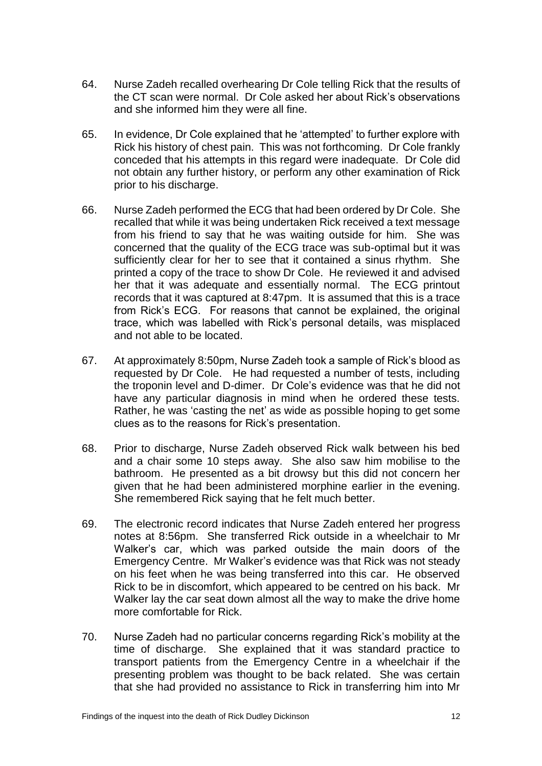- 64. Nurse Zadeh recalled overhearing Dr Cole telling Rick that the results of the CT scan were normal. Dr Cole asked her about Rick's observations and she informed him they were all fine.
- 65. In evidence, Dr Cole explained that he 'attempted' to further explore with Rick his history of chest pain. This was not forthcoming. Dr Cole frankly conceded that his attempts in this regard were inadequate. Dr Cole did not obtain any further history, or perform any other examination of Rick prior to his discharge.
- 66. Nurse Zadeh performed the ECG that had been ordered by Dr Cole. She recalled that while it was being undertaken Rick received a text message from his friend to say that he was waiting outside for him. She was concerned that the quality of the ECG trace was sub-optimal but it was sufficiently clear for her to see that it contained a sinus rhythm. She printed a copy of the trace to show Dr Cole. He reviewed it and advised her that it was adequate and essentially normal. The ECG printout records that it was captured at 8:47pm. It is assumed that this is a trace from Rick's ECG. For reasons that cannot be explained, the original trace, which was labelled with Rick's personal details, was misplaced and not able to be located.
- 67. At approximately 8:50pm, Nurse Zadeh took a sample of Rick's blood as requested by Dr Cole. He had requested a number of tests, including the troponin level and D-dimer. Dr Cole's evidence was that he did not have any particular diagnosis in mind when he ordered these tests. Rather, he was 'casting the net' as wide as possible hoping to get some clues as to the reasons for Rick's presentation.
- 68. Prior to discharge, Nurse Zadeh observed Rick walk between his bed and a chair some 10 steps away. She also saw him mobilise to the bathroom. He presented as a bit drowsy but this did not concern her given that he had been administered morphine earlier in the evening. She remembered Rick saying that he felt much better.
- 69. The electronic record indicates that Nurse Zadeh entered her progress notes at 8:56pm. She transferred Rick outside in a wheelchair to Mr Walker's car, which was parked outside the main doors of the Emergency Centre. Mr Walker's evidence was that Rick was not steady on his feet when he was being transferred into this car. He observed Rick to be in discomfort, which appeared to be centred on his back. Mr Walker lay the car seat down almost all the way to make the drive home more comfortable for Rick.
- 70. Nurse Zadeh had no particular concerns regarding Rick's mobility at the time of discharge. She explained that it was standard practice to transport patients from the Emergency Centre in a wheelchair if the presenting problem was thought to be back related. She was certain that she had provided no assistance to Rick in transferring him into Mr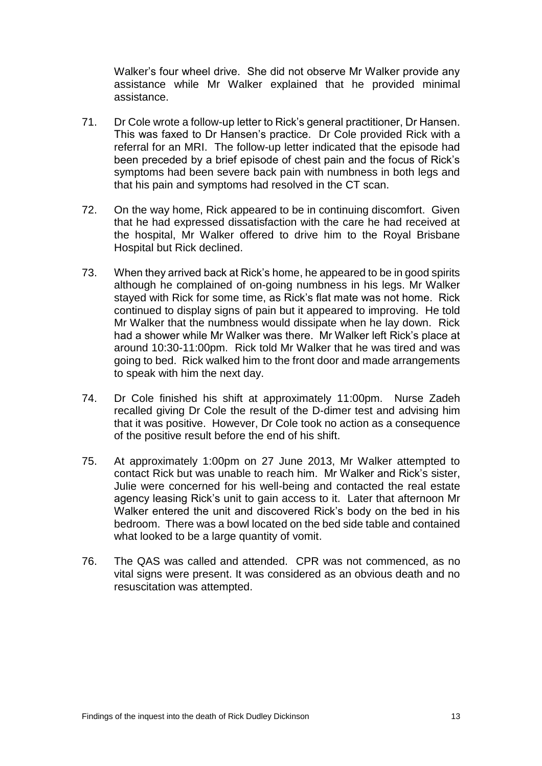Walker's four wheel drive. She did not observe Mr Walker provide any assistance while Mr Walker explained that he provided minimal assistance.

- 71. Dr Cole wrote a follow-up letter to Rick's general practitioner, Dr Hansen. This was faxed to Dr Hansen's practice. Dr Cole provided Rick with a referral for an MRI. The follow-up letter indicated that the episode had been preceded by a brief episode of chest pain and the focus of Rick's symptoms had been severe back pain with numbness in both legs and that his pain and symptoms had resolved in the CT scan.
- 72. On the way home, Rick appeared to be in continuing discomfort. Given that he had expressed dissatisfaction with the care he had received at the hospital, Mr Walker offered to drive him to the Royal Brisbane Hospital but Rick declined.
- 73. When they arrived back at Rick's home, he appeared to be in good spirits although he complained of on-going numbness in his legs. Mr Walker stayed with Rick for some time, as Rick's flat mate was not home. Rick continued to display signs of pain but it appeared to improving. He told Mr Walker that the numbness would dissipate when he lay down. Rick had a shower while Mr Walker was there. Mr Walker left Rick's place at around 10:30-11:00pm. Rick told Mr Walker that he was tired and was going to bed. Rick walked him to the front door and made arrangements to speak with him the next day.
- 74. Dr Cole finished his shift at approximately 11:00pm. Nurse Zadeh recalled giving Dr Cole the result of the D-dimer test and advising him that it was positive. However, Dr Cole took no action as a consequence of the positive result before the end of his shift.
- 75. At approximately 1:00pm on 27 June 2013, Mr Walker attempted to contact Rick but was unable to reach him. Mr Walker and Rick's sister, Julie were concerned for his well-being and contacted the real estate agency leasing Rick's unit to gain access to it. Later that afternoon Mr Walker entered the unit and discovered Rick's body on the bed in his bedroom. There was a bowl located on the bed side table and contained what looked to be a large quantity of vomit.
- 76. The QAS was called and attended. CPR was not commenced, as no vital signs were present. It was considered as an obvious death and no resuscitation was attempted.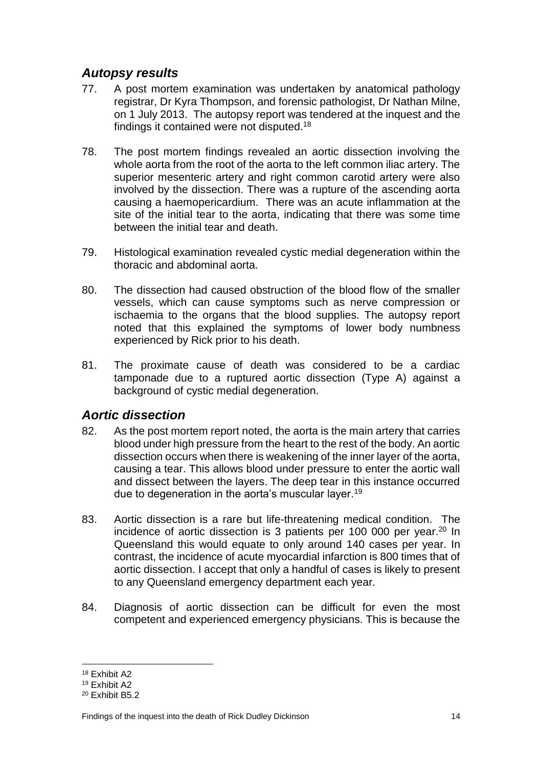### <span id="page-16-0"></span>*Autopsy results*

- 77. A post mortem examination was undertaken by anatomical pathology registrar, Dr Kyra Thompson, and forensic pathologist, Dr Nathan Milne, on 1 July 2013. The autopsy report was tendered at the inquest and the findings it contained were not disputed.<sup>18</sup>
- 78. The post mortem findings revealed an aortic dissection involving the whole aorta from the root of the aorta to the left common iliac artery. The superior mesenteric artery and right common carotid artery were also involved by the dissection. There was a rupture of the ascending aorta causing a haemopericardium. There was an acute inflammation at the site of the initial tear to the aorta, indicating that there was some time between the initial tear and death.
- 79. Histological examination revealed cystic medial degeneration within the thoracic and abdominal aorta.
- 80. The dissection had caused obstruction of the blood flow of the smaller vessels, which can cause symptoms such as nerve compression or ischaemia to the organs that the blood supplies. The autopsy report noted that this explained the symptoms of lower body numbness experienced by Rick prior to his death.
- 81. The proximate cause of death was considered to be a cardiac tamponade due to a ruptured aortic dissection (Type A) against a background of cystic medial degeneration.

### <span id="page-16-1"></span>*Aortic dissection*

- 82. As the post mortem report noted, the aorta is the main artery that carries blood under high pressure from the heart to the rest of the body. An aortic dissection occurs when there is weakening of the inner layer of the aorta, causing a tear. This allows blood under pressure to enter the aortic wall and dissect between the layers. The deep tear in this instance occurred due to degeneration in the aorta's muscular layer.<sup>19</sup>
- 83. Aortic dissection is a rare but life-threatening medical condition. The incidence of aortic dissection is 3 patients per 100 000 per year.<sup>20</sup> In Queensland this would equate to only around 140 cases per year. In contrast, the incidence of acute myocardial infarction is 800 times that of aortic dissection. I accept that only a handful of cases is likely to present to any Queensland emergency department each year.
- 84. Diagnosis of aortic dissection can be difficult for even the most competent and experienced emergency physicians. This is because the

 $\overline{a}$ <sup>18</sup> Exhibit A2

<sup>19</sup> Exhibit A2

<sup>20</sup> Exhibit B5.2

Findings of the inquest into the death of Rick Dudley Dickinson 14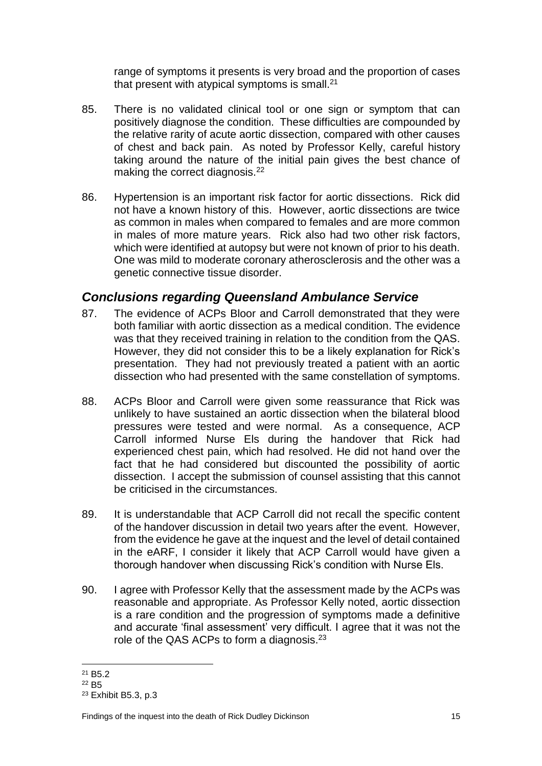range of symptoms it presents is very broad and the proportion of cases that present with atypical symptoms is small.<sup>21</sup>

- 85. There is no validated clinical tool or one sign or symptom that can positively diagnose the condition. These difficulties are compounded by the relative rarity of acute aortic dissection, compared with other causes of chest and back pain. As noted by Professor Kelly, careful history taking around the nature of the initial pain gives the best chance of making the correct diagnosis.<sup>22</sup>
- 86. Hypertension is an important risk factor for aortic dissections. Rick did not have a known history of this. However, aortic dissections are twice as common in males when compared to females and are more common in males of more mature years. Rick also had two other risk factors, which were identified at autopsy but were not known of prior to his death. One was mild to moderate coronary atherosclerosis and the other was a genetic connective tissue disorder.

### <span id="page-17-0"></span>*Conclusions regarding Queensland Ambulance Service*

- 87. The evidence of ACPs Bloor and Carroll demonstrated that they were both familiar with aortic dissection as a medical condition. The evidence was that they received training in relation to the condition from the QAS. However, they did not consider this to be a likely explanation for Rick's presentation. They had not previously treated a patient with an aortic dissection who had presented with the same constellation of symptoms.
- 88. ACPs Bloor and Carroll were given some reassurance that Rick was unlikely to have sustained an aortic dissection when the bilateral blood pressures were tested and were normal. As a consequence, ACP Carroll informed Nurse Els during the handover that Rick had experienced chest pain, which had resolved. He did not hand over the fact that he had considered but discounted the possibility of aortic dissection. I accept the submission of counsel assisting that this cannot be criticised in the circumstances.
- 89. It is understandable that ACP Carroll did not recall the specific content of the handover discussion in detail two years after the event. However, from the evidence he gave at the inquest and the level of detail contained in the eARF, I consider it likely that ACP Carroll would have given a thorough handover when discussing Rick's condition with Nurse Els.
- 90. I agree with Professor Kelly that the assessment made by the ACPs was reasonable and appropriate. As Professor Kelly noted, aortic dissection is a rare condition and the progression of symptoms made a definitive and accurate 'final assessment' very difficult. I agree that it was not the role of the QAS ACPs to form a diagnosis. $23$

 $\overline{a}$ <sup>21</sup> B5.2

<sup>22</sup> B5

<sup>23</sup> Exhibit B5.3, p.3

Findings of the inquest into the death of Rick Dudley Dickinson 15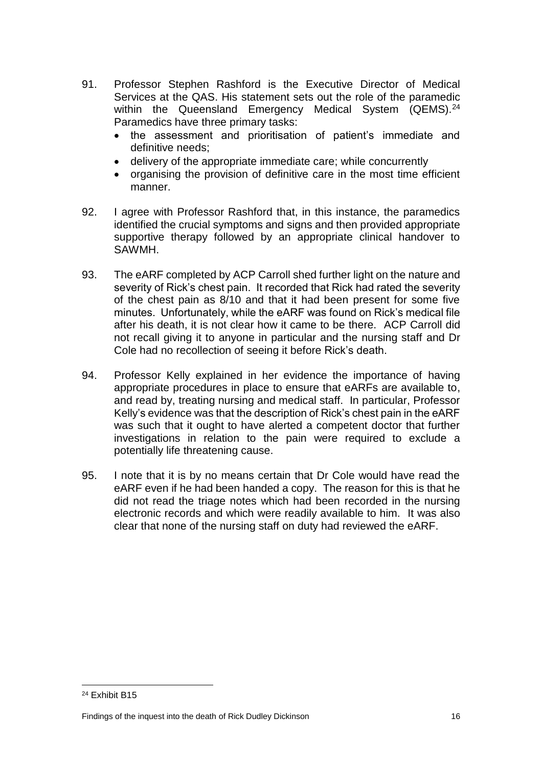- 91. Professor Stephen Rashford is the Executive Director of Medical Services at the QAS. His statement sets out the role of the paramedic within the Queensland Emergency Medical System (QEMS).<sup>24</sup> Paramedics have three primary tasks:
	- the assessment and prioritisation of patient's immediate and definitive needs;
	- delivery of the appropriate immediate care; while concurrently
	- organising the provision of definitive care in the most time efficient manner.
- 92. I agree with Professor Rashford that, in this instance, the paramedics identified the crucial symptoms and signs and then provided appropriate supportive therapy followed by an appropriate clinical handover to SAWMH.
- 93. The eARF completed by ACP Carroll shed further light on the nature and severity of Rick's chest pain. It recorded that Rick had rated the severity of the chest pain as 8/10 and that it had been present for some five minutes. Unfortunately, while the eARF was found on Rick's medical file after his death, it is not clear how it came to be there. ACP Carroll did not recall giving it to anyone in particular and the nursing staff and Dr Cole had no recollection of seeing it before Rick's death.
- 94. Professor Kelly explained in her evidence the importance of having appropriate procedures in place to ensure that eARFs are available to, and read by, treating nursing and medical staff. In particular, Professor Kelly's evidence was that the description of Rick's chest pain in the eARF was such that it ought to have alerted a competent doctor that further investigations in relation to the pain were required to exclude a potentially life threatening cause.
- <span id="page-18-0"></span>95. I note that it is by no means certain that Dr Cole would have read the eARF even if he had been handed a copy. The reason for this is that he did not read the triage notes which had been recorded in the nursing electronic records and which were readily available to him. It was also clear that none of the nursing staff on duty had reviewed the eARF.

<sup>24</sup> Exhibit B15

Findings of the inquest into the death of Rick Dudley Dickinson 16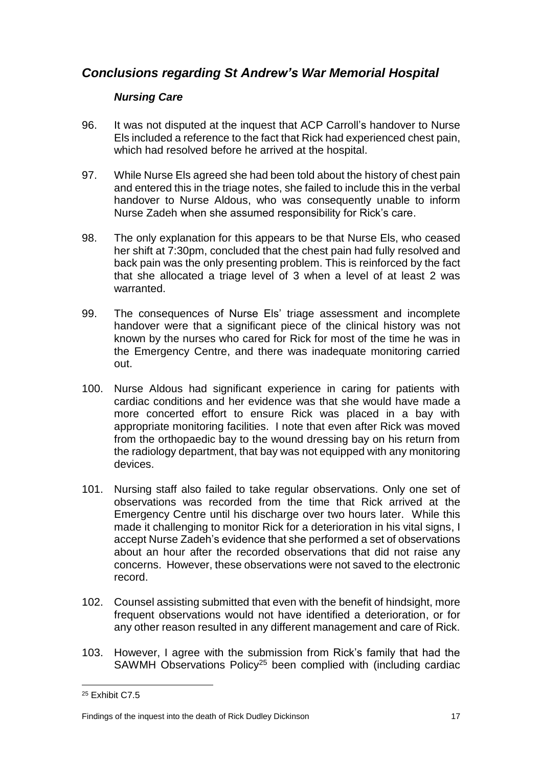### *Conclusions regarding St Andrew's War Memorial Hospital*

#### <span id="page-19-0"></span>*Nursing Care*

- 96. It was not disputed at the inquest that ACP Carroll's handover to Nurse Els included a reference to the fact that Rick had experienced chest pain, which had resolved before he arrived at the hospital.
- 97. While Nurse Els agreed she had been told about the history of chest pain and entered this in the triage notes, she failed to include this in the verbal handover to Nurse Aldous, who was consequently unable to inform Nurse Zadeh when she assumed responsibility for Rick's care.
- 98. The only explanation for this appears to be that Nurse Els, who ceased her shift at 7:30pm, concluded that the chest pain had fully resolved and back pain was the only presenting problem. This is reinforced by the fact that she allocated a triage level of 3 when a level of at least 2 was warranted.
- 99. The consequences of Nurse Els' triage assessment and incomplete handover were that a significant piece of the clinical history was not known by the nurses who cared for Rick for most of the time he was in the Emergency Centre, and there was inadequate monitoring carried out.
- 100. Nurse Aldous had significant experience in caring for patients with cardiac conditions and her evidence was that she would have made a more concerted effort to ensure Rick was placed in a bay with appropriate monitoring facilities. I note that even after Rick was moved from the orthopaedic bay to the wound dressing bay on his return from the radiology department, that bay was not equipped with any monitoring devices.
- 101. Nursing staff also failed to take regular observations. Only one set of observations was recorded from the time that Rick arrived at the Emergency Centre until his discharge over two hours later. While this made it challenging to monitor Rick for a deterioration in his vital signs, I accept Nurse Zadeh's evidence that she performed a set of observations about an hour after the recorded observations that did not raise any concerns. However, these observations were not saved to the electronic record.
- 102. Counsel assisting submitted that even with the benefit of hindsight, more frequent observations would not have identified a deterioration, or for any other reason resulted in any different management and care of Rick.
- 103. However, I agree with the submission from Rick's family that had the SAWMH Observations Policy<sup>25</sup> been complied with (including cardiac

<sup>25</sup> Exhibit C7.5

Findings of the inquest into the death of Rick Dudley Dickinson 17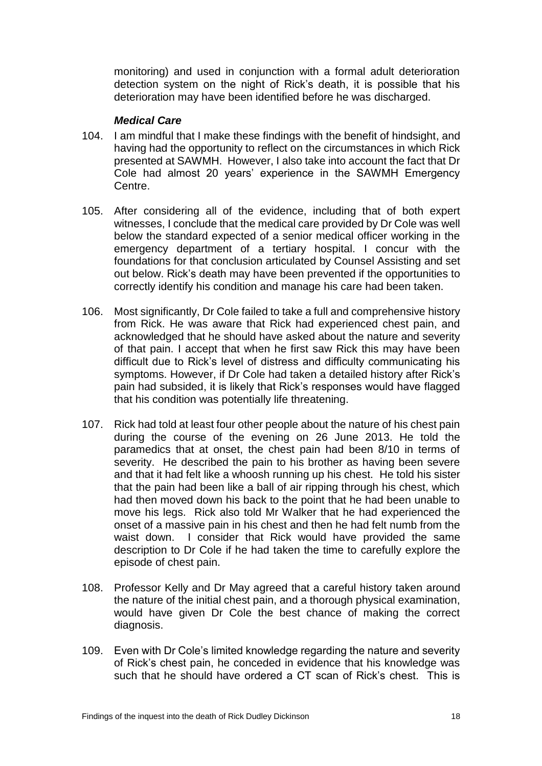monitoring) and used in conjunction with a formal adult deterioration detection system on the night of Rick's death, it is possible that his deterioration may have been identified before he was discharged.

#### *Medical Care*

- <span id="page-20-0"></span>104. I am mindful that I make these findings with the benefit of hindsight, and having had the opportunity to reflect on the circumstances in which Rick presented at SAWMH. However, I also take into account the fact that Dr Cole had almost 20 years' experience in the SAWMH Emergency Centre.
- 105. After considering all of the evidence, including that of both expert witnesses, I conclude that the medical care provided by Dr Cole was well below the standard expected of a senior medical officer working in the emergency department of a tertiary hospital. I concur with the foundations for that conclusion articulated by Counsel Assisting and set out below. Rick's death may have been prevented if the opportunities to correctly identify his condition and manage his care had been taken.
- 106. Most significantly, Dr Cole failed to take a full and comprehensive history from Rick. He was aware that Rick had experienced chest pain, and acknowledged that he should have asked about the nature and severity of that pain. I accept that when he first saw Rick this may have been difficult due to Rick's level of distress and difficulty communicating his symptoms. However, if Dr Cole had taken a detailed history after Rick's pain had subsided, it is likely that Rick's responses would have flagged that his condition was potentially life threatening.
- 107. Rick had told at least four other people about the nature of his chest pain during the course of the evening on 26 June 2013. He told the paramedics that at onset, the chest pain had been 8/10 in terms of severity. He described the pain to his brother as having been severe and that it had felt like a whoosh running up his chest. He told his sister that the pain had been like a ball of air ripping through his chest, which had then moved down his back to the point that he had been unable to move his legs. Rick also told Mr Walker that he had experienced the onset of a massive pain in his chest and then he had felt numb from the waist down. I consider that Rick would have provided the same description to Dr Cole if he had taken the time to carefully explore the episode of chest pain.
- 108. Professor Kelly and Dr May agreed that a careful history taken around the nature of the initial chest pain, and a thorough physical examination, would have given Dr Cole the best chance of making the correct diagnosis.
- 109. Even with Dr Cole's limited knowledge regarding the nature and severity of Rick's chest pain, he conceded in evidence that his knowledge was such that he should have ordered a CT scan of Rick's chest. This is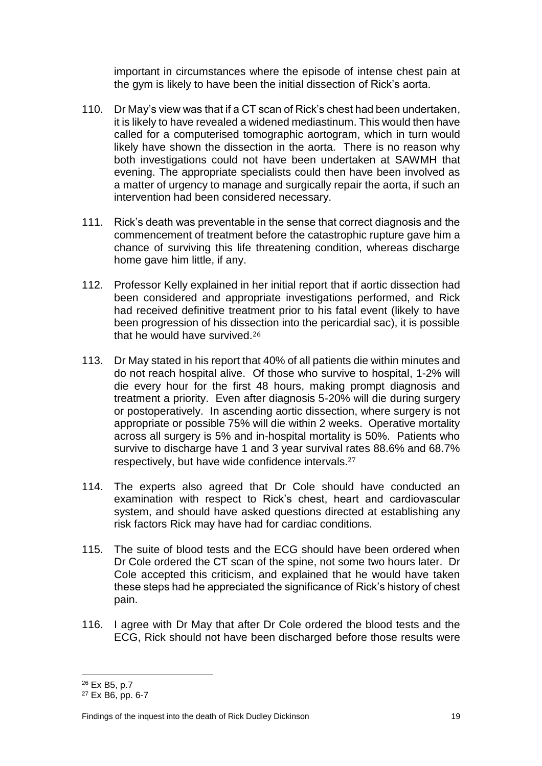important in circumstances where the episode of intense chest pain at the gym is likely to have been the initial dissection of Rick's aorta.

- 110. Dr May's view was that if a CT scan of Rick's chest had been undertaken, it is likely to have revealed a widened mediastinum. This would then have called for a computerised tomographic aortogram, which in turn would likely have shown the dissection in the aorta. There is no reason why both investigations could not have been undertaken at SAWMH that evening. The appropriate specialists could then have been involved as a matter of urgency to manage and surgically repair the aorta, if such an intervention had been considered necessary.
- 111. Rick's death was preventable in the sense that correct diagnosis and the commencement of treatment before the catastrophic rupture gave him a chance of surviving this life threatening condition, whereas discharge home gave him little, if any.
- 112. Professor Kelly explained in her initial report that if aortic dissection had been considered and appropriate investigations performed, and Rick had received definitive treatment prior to his fatal event (likely to have been progression of his dissection into the pericardial sac), it is possible that he would have survived.<sup>26</sup>
- 113. Dr May stated in his report that 40% of all patients die within minutes and do not reach hospital alive. Of those who survive to hospital, 1-2% will die every hour for the first 48 hours, making prompt diagnosis and treatment a priority. Even after diagnosis 5-20% will die during surgery or postoperatively. In ascending aortic dissection, where surgery is not appropriate or possible 75% will die within 2 weeks. Operative mortality across all surgery is 5% and in-hospital mortality is 50%. Patients who survive to discharge have 1 and 3 year survival rates 88.6% and 68.7% respectively, but have wide confidence intervals.<sup>27</sup>
- 114. The experts also agreed that Dr Cole should have conducted an examination with respect to Rick's chest, heart and cardiovascular system, and should have asked questions directed at establishing any risk factors Rick may have had for cardiac conditions.
- 115. The suite of blood tests and the ECG should have been ordered when Dr Cole ordered the CT scan of the spine, not some two hours later. Dr Cole accepted this criticism, and explained that he would have taken these steps had he appreciated the significance of Rick's history of chest pain.
- 116. I agree with Dr May that after Dr Cole ordered the blood tests and the ECG, Rick should not have been discharged before those results were

 $\overline{a}$ <sup>26</sup> Ex B5, p.7

<sup>27</sup> Ex B6, pp. 6-7

Findings of the inquest into the death of Rick Dudley Dickinson 19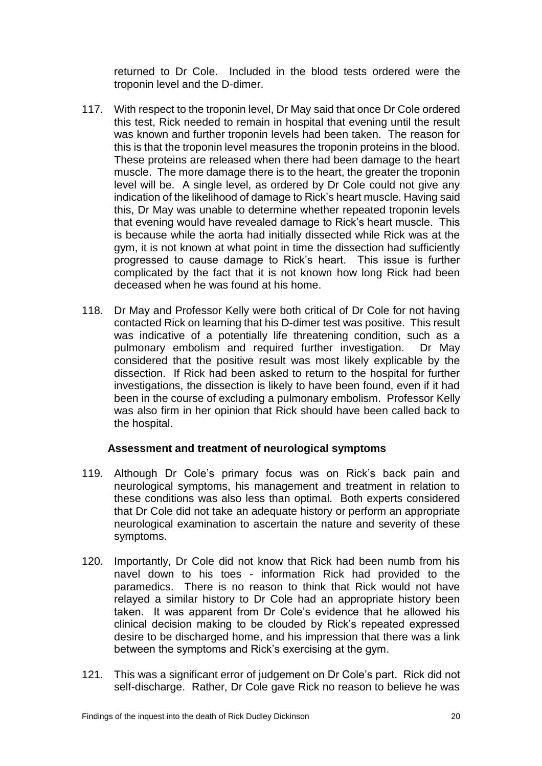returned to Dr Cole. Included in the blood tests ordered were the troponin level and the D-dimer.

- 117. With respect to the troponin level, Dr May said that once Dr Cole ordered this test, Rick needed to remain in hospital that evening until the result was known and further troponin levels had been taken. The reason for this is that the troponin level measures the troponin proteins in the blood. These proteins are released when there had been damage to the heart muscle. The more damage there is to the heart, the greater the troponin level will be. A single level, as ordered by Dr Cole could not give any indication of the likelihood of damage to Rick's heart muscle. Having said this, Dr May was unable to determine whether repeated troponin levels that evening would have revealed damage to Rick's heart muscle. This is because while the aorta had initially dissected while Rick was at the gym, it is not known at what point in time the dissection had sufficiently progressed to cause damage to Rick's heart. This issue is further complicated by the fact that it is not known how long Rick had been deceased when he was found at his home.
- 118. Dr May and Professor Kelly were both critical of Dr Cole for not having contacted Rick on learning that his D-dimer test was positive. This result was indicative of a potentially life threatening condition, such as a pulmonary embolism and required further investigation. Dr May considered that the positive result was most likely explicable by the dissection. If Rick had been asked to return to the hospital for further investigations, the dissection is likely to have been found, even if it had been in the course of excluding a pulmonary embolism. Professor Kelly was also firm in her opinion that Rick should have been called back to the hospital.

#### **Assessment and treatment of neurological symptoms**

- 119. Although Dr Cole's primary focus was on Rick's back pain and neurological symptoms, his management and treatment in relation to these conditions was also less than optimal. Both experts considered that Dr Cole did not take an adequate history or perform an appropriate neurological examination to ascertain the nature and severity of these symptoms.
- 120. Importantly, Dr Cole did not know that Rick had been numb from his navel down to his toes - information Rick had provided to the paramedics. There is no reason to think that Rick would not have relayed a similar history to Dr Cole had an appropriate history been taken. It was apparent from Dr Cole's evidence that he allowed his clinical decision making to be clouded by Rick's repeated expressed desire to be discharged home, and his impression that there was a link between the symptoms and Rick's exercising at the gym.
- 121. This was a significant error of judgement on Dr Cole's part. Rick did not self-discharge. Rather, Dr Cole gave Rick no reason to believe he was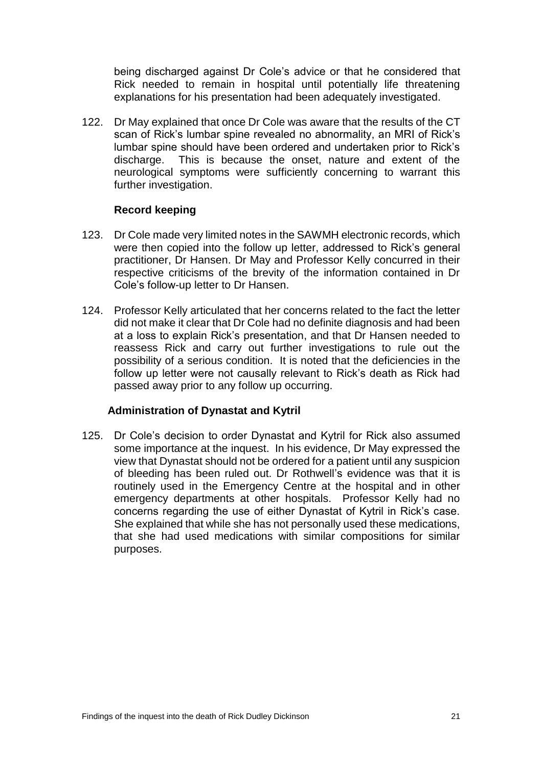being discharged against Dr Cole's advice or that he considered that Rick needed to remain in hospital until potentially life threatening explanations for his presentation had been adequately investigated.

122. Dr May explained that once Dr Cole was aware that the results of the CT scan of Rick's lumbar spine revealed no abnormality, an MRI of Rick's lumbar spine should have been ordered and undertaken prior to Rick's discharge. This is because the onset, nature and extent of the neurological symptoms were sufficiently concerning to warrant this further investigation.

#### **Record keeping**

- 123. Dr Cole made very limited notes in the SAWMH electronic records, which were then copied into the follow up letter, addressed to Rick's general practitioner, Dr Hansen. Dr May and Professor Kelly concurred in their respective criticisms of the brevity of the information contained in Dr Cole's follow-up letter to Dr Hansen.
- 124. Professor Kelly articulated that her concerns related to the fact the letter did not make it clear that Dr Cole had no definite diagnosis and had been at a loss to explain Rick's presentation, and that Dr Hansen needed to reassess Rick and carry out further investigations to rule out the possibility of a serious condition. It is noted that the deficiencies in the follow up letter were not causally relevant to Rick's death as Rick had passed away prior to any follow up occurring.

#### **Administration of Dynastat and Kytril**

<span id="page-23-0"></span>125. Dr Cole's decision to order Dynastat and Kytril for Rick also assumed some importance at the inquest. In his evidence, Dr May expressed the view that Dynastat should not be ordered for a patient until any suspicion of bleeding has been ruled out. Dr Rothwell's evidence was that it is routinely used in the Emergency Centre at the hospital and in other emergency departments at other hospitals. Professor Kelly had no concerns regarding the use of either Dynastat of Kytril in Rick's case. She explained that while she has not personally used these medications, that she had used medications with similar compositions for similar purposes.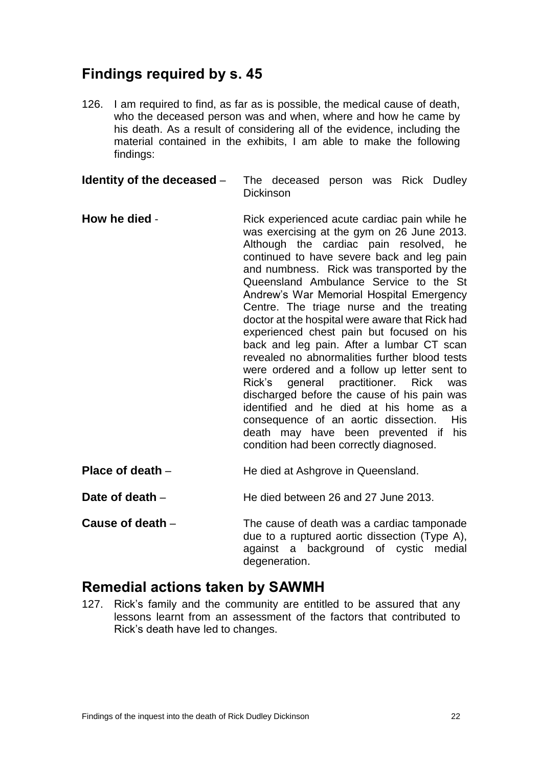## **Findings required by s. 45**

126. I am required to find, as far as is possible, the medical cause of death, who the deceased person was and when, where and how he came by his death. As a result of considering all of the evidence, including the material contained in the exhibits, I am able to make the following findings:

<span id="page-24-0"></span>**Identity of the deceased** – The deceased person was Rick Dudley Dickinson

- <span id="page-24-1"></span>**How he died** - Rick experienced acute cardiac pain while he was exercising at the gym on 26 June 2013. Although the cardiac pain resolved, he continued to have severe back and leg pain and numbness. Rick was transported by the Queensland Ambulance Service to the St Andrew's War Memorial Hospital Emergency Centre. The triage nurse and the treating doctor at the hospital were aware that Rick had experienced chest pain but focused on his back and leg pain. After a lumbar CT scan revealed no abnormalities further blood tests were ordered and a follow up letter sent to Rick's general practitioner. Rick was discharged before the cause of his pain was identified and he died at his home as a consequence of an aortic dissection. His death may have been prevented if his condition had been correctly diagnosed.
- <span id="page-24-2"></span>**Place of death** – **He died at Ashgrove in Queensland.**

<span id="page-24-3"></span>**Date of death** – **He died between 26 and 27 June 2013.** 

<span id="page-24-4"></span>**Cause of death** – The cause of death was a cardiac tamponade due to a ruptured aortic dissection (Type A), against a background of cystic medial degeneration.

### <span id="page-24-5"></span>**Remedial actions taken by SAWMH**

127. Rick's family and the community are entitled to be assured that any lessons learnt from an assessment of the factors that contributed to Rick's death have led to changes.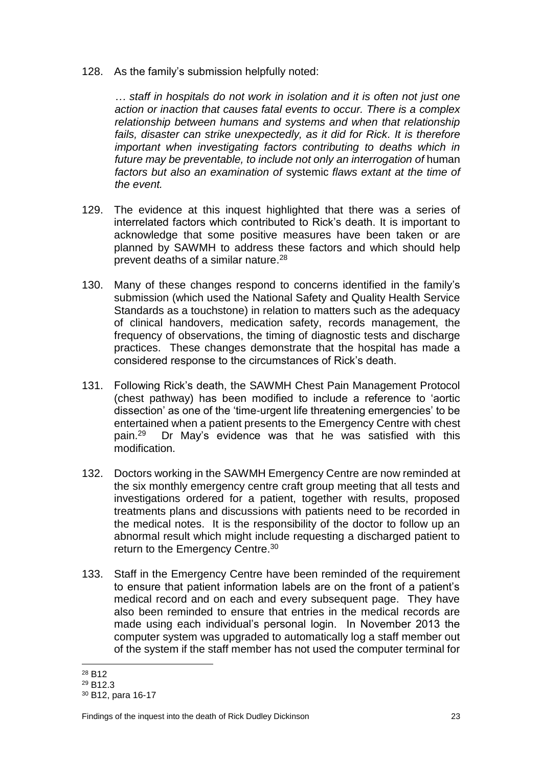128. As the family's submission helpfully noted:

*… staff in hospitals do not work in isolation and it is often not just one action or inaction that causes fatal events to occur. There is a complex relationship between humans and systems and when that relationship*  fails, disaster can strike unexpectedly, as it did for Rick. It is therefore *important when investigating factors contributing to deaths which in future may be preventable, to include not only an interrogation of* human *factors but also an examination of* systemic *flaws extant at the time of the event.*

- 129. The evidence at this inquest highlighted that there was a series of interrelated factors which contributed to Rick's death. It is important to acknowledge that some positive measures have been taken or are planned by SAWMH to address these factors and which should help prevent deaths of a similar nature. 28
- 130. Many of these changes respond to concerns identified in the family's submission (which used the National Safety and Quality Health Service Standards as a touchstone) in relation to matters such as the adequacy of clinical handovers, medication safety, records management, the frequency of observations, the timing of diagnostic tests and discharge practices. These changes demonstrate that the hospital has made a considered response to the circumstances of Rick's death.
- 131. Following Rick's death, the SAWMH Chest Pain Management Protocol (chest pathway) has been modified to include a reference to 'aortic dissection' as one of the 'time-urgent life threatening emergencies' to be entertained when a patient presents to the Emergency Centre with chest pain.<sup>29</sup> Dr May's evidence was that he was satisfied with this modification.
- 132. Doctors working in the SAWMH Emergency Centre are now reminded at the six monthly emergency centre craft group meeting that all tests and investigations ordered for a patient, together with results, proposed treatments plans and discussions with patients need to be recorded in the medical notes. It is the responsibility of the doctor to follow up an abnormal result which might include requesting a discharged patient to return to the Emergency Centre.<sup>30</sup>
- 133. Staff in the Emergency Centre have been reminded of the requirement to ensure that patient information labels are on the front of a patient's medical record and on each and every subsequent page. They have also been reminded to ensure that entries in the medical records are made using each individual's personal login. In November 2013 the computer system was upgraded to automatically log a staff member out of the system if the staff member has not used the computer terminal for

 $\overline{a}$ <sup>28</sup> B12

<sup>29</sup> B12.3

<sup>30</sup> B12, para 16-17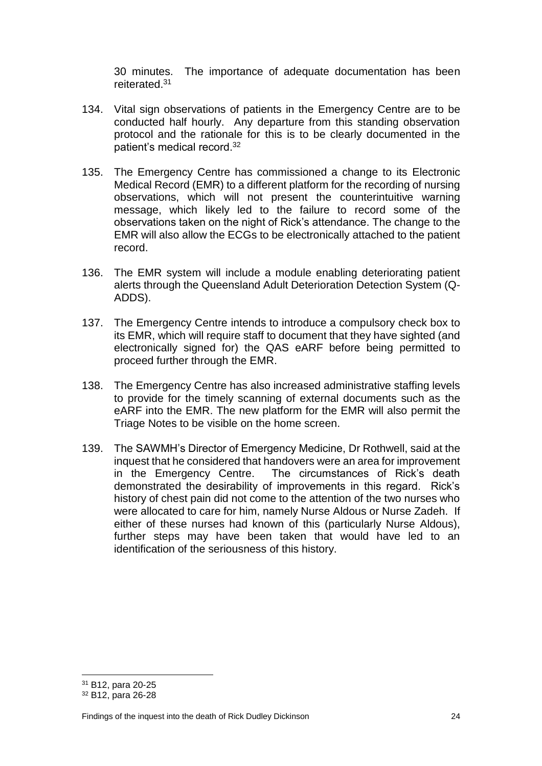30 minutes. The importance of adequate documentation has been reiterated.<sup>31</sup>

- 134. Vital sign observations of patients in the Emergency Centre are to be conducted half hourly. Any departure from this standing observation protocol and the rationale for this is to be clearly documented in the patient's medical record.<sup>32</sup>
- 135. The Emergency Centre has commissioned a change to its Electronic Medical Record (EMR) to a different platform for the recording of nursing observations, which will not present the counterintuitive warning message, which likely led to the failure to record some of the observations taken on the night of Rick's attendance. The change to the EMR will also allow the ECGs to be electronically attached to the patient record.
- 136. The EMR system will include a module enabling deteriorating patient alerts through the Queensland Adult Deterioration Detection System (Q-ADDS).
- 137. The Emergency Centre intends to introduce a compulsory check box to its EMR, which will require staff to document that they have sighted (and electronically signed for) the QAS eARF before being permitted to proceed further through the EMR.
- 138. The Emergency Centre has also increased administrative staffing levels to provide for the timely scanning of external documents such as the eARF into the EMR. The new platform for the EMR will also permit the Triage Notes to be visible on the home screen.
- 139. The SAWMH's Director of Emergency Medicine, Dr Rothwell, said at the inquest that he considered that handovers were an area for improvement in the Emergency Centre. The circumstances of Rick's death demonstrated the desirability of improvements in this regard. Rick's history of chest pain did not come to the attention of the two nurses who were allocated to care for him, namely Nurse Aldous or Nurse Zadeh. If either of these nurses had known of this (particularly Nurse Aldous), further steps may have been taken that would have led to an identification of the seriousness of this history.

<sup>31</sup> B12, para 20-25

<sup>32</sup> B12, para 26-28

Findings of the inquest into the death of Rick Dudley Dickinson 24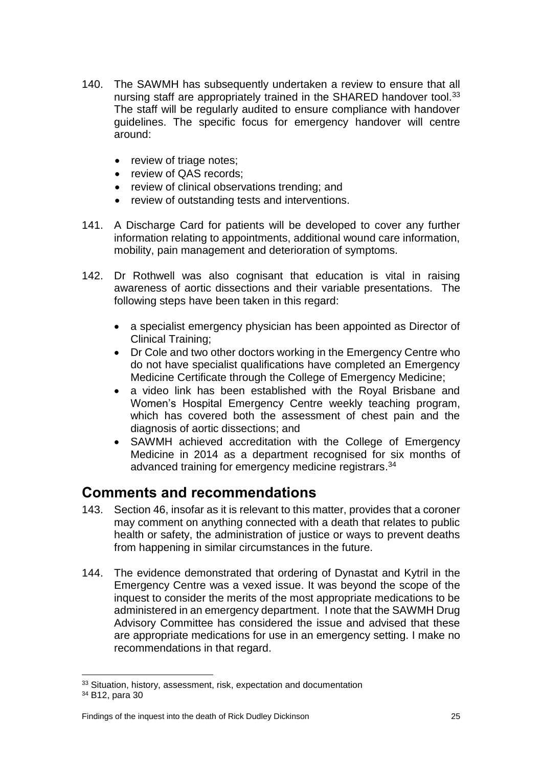- 140. The SAWMH has subsequently undertaken a review to ensure that all nursing staff are appropriately trained in the SHARED handover tool.<sup>33</sup> The staff will be regularly audited to ensure compliance with handover guidelines. The specific focus for emergency handover will centre around:
	- review of triage notes;
	- review of QAS records;
	- review of clinical observations trending; and
	- review of outstanding tests and interventions.
- 141. A Discharge Card for patients will be developed to cover any further information relating to appointments, additional wound care information, mobility, pain management and deterioration of symptoms.
- 142. Dr Rothwell was also cognisant that education is vital in raising awareness of aortic dissections and their variable presentations. The following steps have been taken in this regard:
	- a specialist emergency physician has been appointed as Director of Clinical Training;
	- Dr Cole and two other doctors working in the Emergency Centre who do not have specialist qualifications have completed an Emergency Medicine Certificate through the College of Emergency Medicine;
	- a video link has been established with the Royal Brisbane and Women's Hospital Emergency Centre weekly teaching program, which has covered both the assessment of chest pain and the diagnosis of aortic dissections; and
	- SAWMH achieved accreditation with the College of Emergency Medicine in 2014 as a department recognised for six months of advanced training for emergency medicine registrars. 34

## <span id="page-27-0"></span>**Comments and recommendations**

- 143. Section 46, insofar as it is relevant to this matter, provides that a coroner may comment on anything connected with a death that relates to public health or safety, the administration of justice or ways to prevent deaths from happening in similar circumstances in the future.
- 144. The evidence demonstrated that ordering of Dynastat and Kytril in the Emergency Centre was a vexed issue. It was beyond the scope of the inquest to consider the merits of the most appropriate medications to be administered in an emergency department. I note that the SAWMH Drug Advisory Committee has considered the issue and advised that these are appropriate medications for use in an emergency setting. I make no recommendations in that regard.

<sup>33</sup> Situation, history, assessment, risk, expectation and documentation

<sup>34</sup> B12, para 30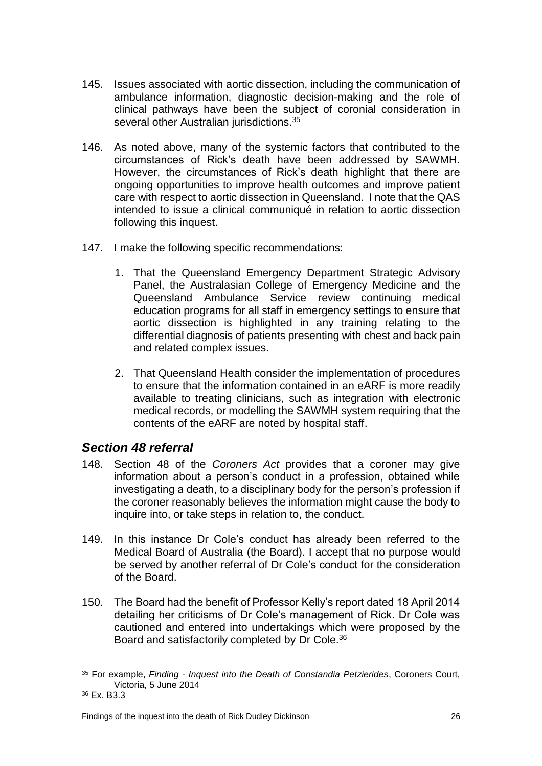- 145. Issues associated with aortic dissection, including the communication of ambulance information, diagnostic decision-making and the role of clinical pathways have been the subject of coronial consideration in several other Australian jurisdictions.<sup>35</sup>
- 146. As noted above, many of the systemic factors that contributed to the circumstances of Rick's death have been addressed by SAWMH. However, the circumstances of Rick's death highlight that there are ongoing opportunities to improve health outcomes and improve patient care with respect to aortic dissection in Queensland. I note that the QAS intended to issue a clinical communiqué in relation to aortic dissection following this inquest.
- 147. I make the following specific recommendations:
	- 1. That the Queensland Emergency Department Strategic Advisory Panel, the Australasian College of Emergency Medicine and the Queensland Ambulance Service review continuing medical education programs for all staff in emergency settings to ensure that aortic dissection is highlighted in any training relating to the differential diagnosis of patients presenting with chest and back pain and related complex issues.
	- 2. That Queensland Health consider the implementation of procedures to ensure that the information contained in an eARF is more readily available to treating clinicians, such as integration with electronic medical records, or modelling the SAWMH system requiring that the contents of the eARF are noted by hospital staff.

### <span id="page-28-0"></span>*Section 48 referral*

- 148. Section 48 of the *Coroners Act* provides that a coroner may give information about a person's conduct in a profession, obtained while investigating a death, to a disciplinary body for the person's profession if the coroner reasonably believes the information might cause the body to inquire into, or take steps in relation to, the conduct.
- 149. In this instance Dr Cole's conduct has already been referred to the Medical Board of Australia (the Board). I accept that no purpose would be served by another referral of Dr Cole's conduct for the consideration of the Board.
- 150. The Board had the benefit of Professor Kelly's report dated 18 April 2014 detailing her criticisms of Dr Cole's management of Rick. Dr Cole was cautioned and entered into undertakings which were proposed by the Board and satisfactorily completed by Dr Cole.<sup>36</sup>

 $\overline{a}$ <sup>35</sup> For example, *Finding - Inquest into the Death of Constandia Petzierides*, Coroners Court, Victoria, 5 June 2014

<sup>36</sup> Ex. B3.3